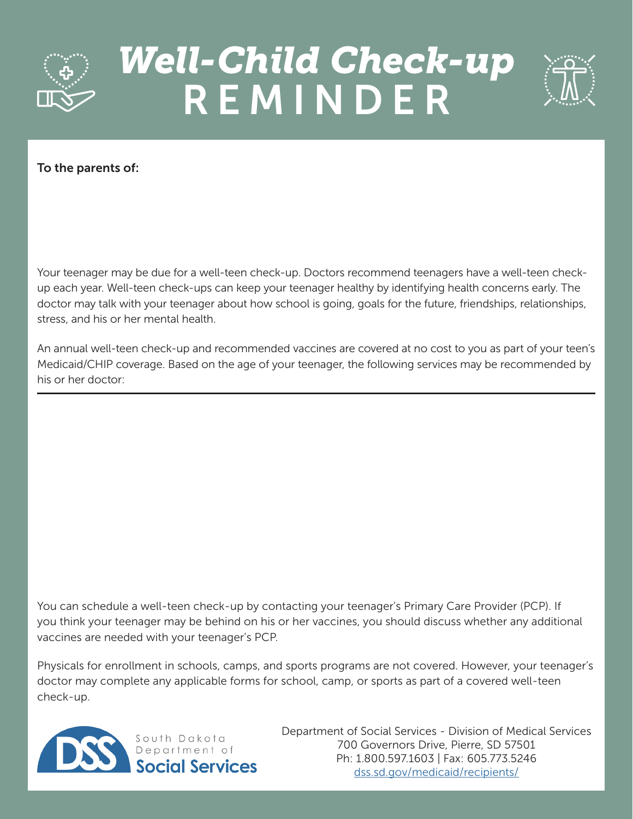

## *Well-Child Check-up*  REMINDER



## To the parents of:

Your teenager may be due for a well-teen check-up. Doctors recommend teenagers have a well-teen checkup each year. Well-teen check-ups can keep your teenager healthy by identifying health concerns early. The doctor may talk with your teenager about how school is going, goals for the future, friendships, relationships, stress, and his or her mental health.

An annual well-teen check-up and recommended vaccines are covered at no cost to you as part of your teen's Medicaid/CHIP coverage. Based on the age of your teenager, the following services may be recommended by his or her doctor:

You can schedule a well-teen check-up by contacting your teenager's Primary Care Provider (PCP). If you think your teenager may be behind on his or her vaccines, you should discuss whether any additional vaccines are needed with your teenager's PCP.

Physicals for enrollment in schools, camps, and sports programs are not covered. However, your teenager's doctor may complete any applicable forms for school, camp, or sports as part of a covered well-teen check-up.



Department of Social Services - Division of Medical Services 700 Governors Drive, Pierre, SD 57501 Ph: 1.800.597.1603 | Fax: 605.773.5246 [dss.sd.gov/medicaid/recipients/](https://dss.sd.gov/medicaid/recipients/)